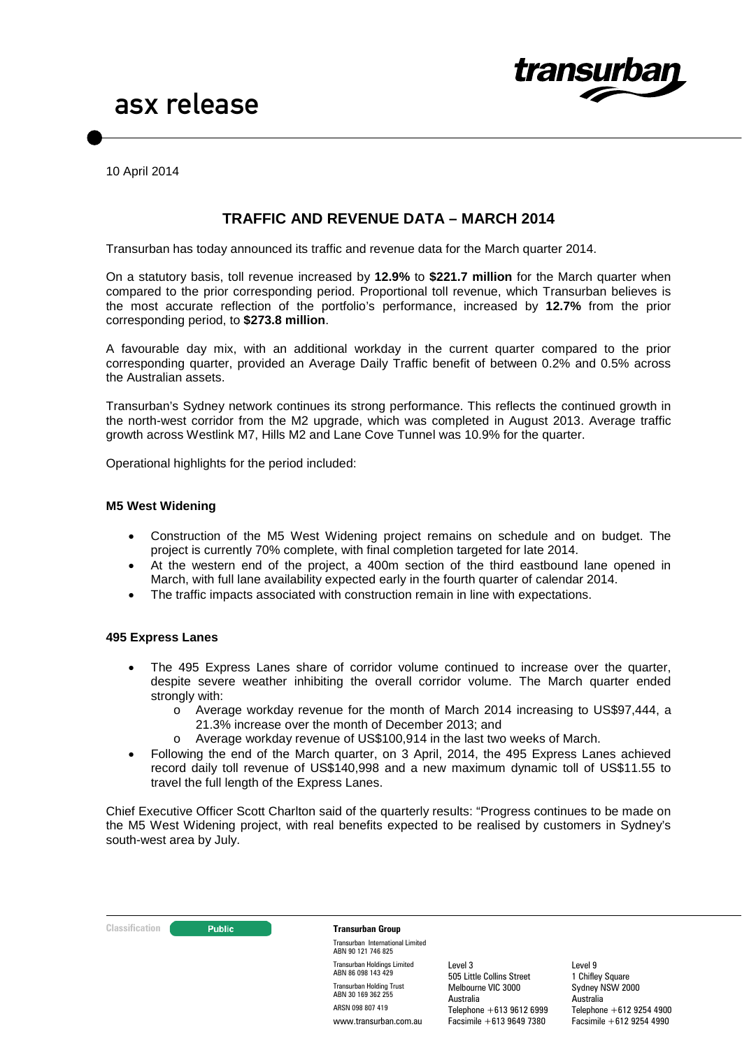

10 April 2014

# **TRAFFIC AND REVENUE DATA – MARCH 2014**

Transurban has today announced its traffic and revenue data for the March quarter 2014.

On a statutory basis, toll revenue increased by **12.9%** to **\$221.7 million** for the March quarter when compared to the prior corresponding period. Proportional toll revenue, which Transurban believes is the most accurate reflection of the portfolio's performance, increased by **12.7%** from the prior corresponding period, to **\$273.8 million**.

A favourable day mix, with an additional workday in the current quarter compared to the prior corresponding quarter, provided an Average Daily Traffic benefit of between 0.2% and 0.5% across the Australian assets.

Transurban's Sydney network continues its strong performance. This reflects the continued growth in the north-west corridor from the M2 upgrade, which was completed in August 2013. Average traffic growth across Westlink M7, Hills M2 and Lane Cove Tunnel was 10.9% for the quarter.

Operational highlights for the period included:

#### **M5 West Widening**

- Construction of the M5 West Widening project remains on schedule and on budget. The project is currently 70% complete, with final completion targeted for late 2014.
- At the western end of the project, a 400m section of the third eastbound lane opened in March, with full lane availability expected early in the fourth quarter of calendar 2014.
- The traffic impacts associated with construction remain in line with expectations.

#### **495 Express Lanes**

- The 495 Express Lanes share of corridor volume continued to increase over the quarter, despite severe weather inhibiting the overall corridor volume. The March quarter ended strongly with:
	- o Average workday revenue for the month of March 2014 increasing to US\$97,444, a 21.3% increase over the month of December 2013; and
	- o Average workday revenue of US\$100,914 in the last two weeks of March.
- Following the end of the March quarter, on 3 April, 2014, the 495 Express Lanes achieved record daily toll revenue of US\$140,998 and a new maximum dynamic toll of US\$11.55 to travel the full length of the Express Lanes.

Chief Executive Officer Scott Charlton said of the quarterly results: "Progress continues to be made on the M5 West Widening project, with real benefits expected to be realised by customers in Sydney's south-west area by July.

#### **Classification Construction Transurban Group**

Transurban International Limited ABN 90 121 746 825 Transurban Holdings Limited ABN 86 098 143 429 Transurban Holding Trust ABN 30 169 362 255 ARSN 098 807 419 www.transurban.com.au

Level 3 505 Little Collins Street Melbourne VIC 3000 Australia Telephone +613 9612 6999 Facsimile +613 9649 7380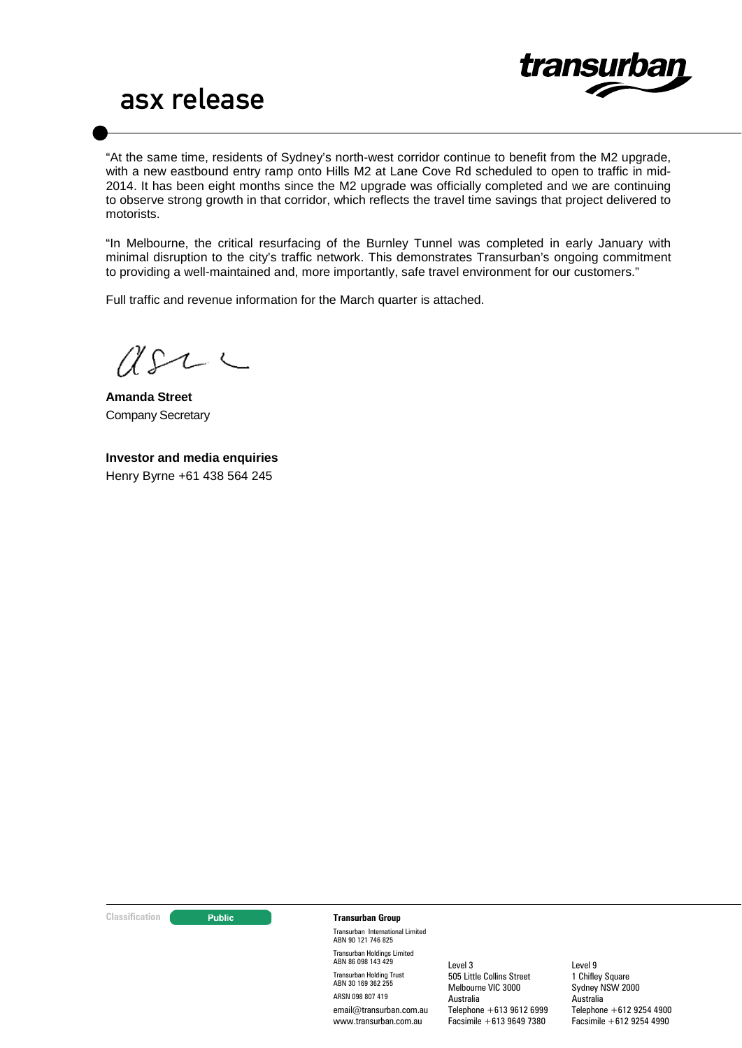

"At the same time, residents of Sydney's north-west corridor continue to benefit from the M2 upgrade, with a new eastbound entry ramp onto Hills M2 at Lane Cove Rd scheduled to open to traffic in mid-2014. It has been eight months since the M2 upgrade was officially completed and we are continuing to observe strong growth in that corridor, which reflects the travel time savings that project delivered to motorists.

"In Melbourne, the critical resurfacing of the Burnley Tunnel was completed in early January with minimal disruption to the city's traffic network. This demonstrates Transurban's ongoing commitment to providing a well-maintained and, more importantly, safe travel environment for our customers."

Full traffic and revenue information for the March quarter is attached.

 $U222$ 

**Amanda Street** Company Secretary

**Investor and media enquiries** Henry Byrne +61 438 564 245

#### **Classification Construction Transurban Group**

Transurban International Limited ABN 90 121 746 825 Transurban Holdings Limited ABN 86 098 143 429 Transurban Holding Trust ABN 30 169 362 255 ARSN 098 807 419 email@transurban.com.au www.transurban.com.au

Level 3 505 Little Collins Street Melbourne VIC 3000 Australia Telephone +613 9612 6999 Facsimile +613 9649 7380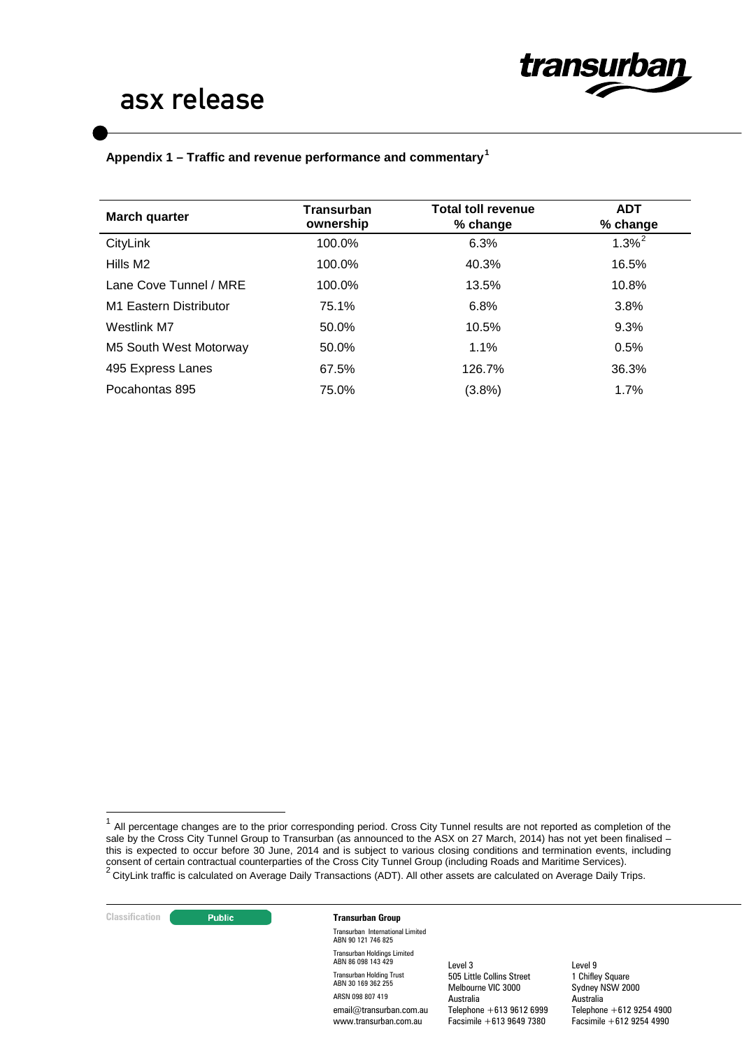

# **Appendix 1 – Traffic and revenue performance and commentary[1](#page-2-0)**

| March quarter          | <b>Transurban</b><br>ownership | <b>Total toll revenue</b><br>% change | <b>ADT</b><br>% change |
|------------------------|--------------------------------|---------------------------------------|------------------------|
| CityLink               | 100.0%                         | 6.3%                                  | $1.3\%^{2}$            |
| Hills M <sub>2</sub>   | 100.0%                         | 40.3%                                 | 16.5%                  |
| Lane Cove Tunnel / MRE | 100.0%                         | 13.5%                                 | 10.8%                  |
| M1 Eastern Distributor | 75.1%                          | 6.8%                                  | 3.8%                   |
| Westlink M7            | 50.0%                          | 10.5%                                 | 9.3%                   |
| M5 South West Motorway | 50.0%                          | 1.1%                                  | 0.5%                   |
| 495 Express Lanes      | 67.5%                          | 126.7%                                | 36.3%                  |
| Pocahontas 895         | 75.0%                          | (3.8%)                                | 1.7%                   |

<span id="page-2-1"></span><span id="page-2-0"></span> $1$  All percentage changes are to the prior corresponding period. Cross City Tunnel results are not reported as completion of the sale by the Cross City Tunnel Group to Transurban (as announced to the ASX on 27 March, 2014) has not yet been finalised – this is expected to occur before 30 June, 2014 and is subject to various closing conditions and termination events, including consent of certain contractual counterparties of the Cross City Tunnel Group (including Roads and Maritime Services).<br><sup>2</sup> CityLink traffic is calculated on Average Daily Transactions (ADT). All other assets are calculated



Transurban International Limited ABN 90 121 746 825 Transurban Holdings Limited ABN 86 098 143 429 Transurban Holding Trust ABN 30 169 362 255 ARSN 098 807 419 email@transurban.com.au www.transurban.com.au

Level 3 505 Little Collins Street Melbourne VIC 3000 Australia Telephone +613 9612 6999 Facsimile +613 9649 7380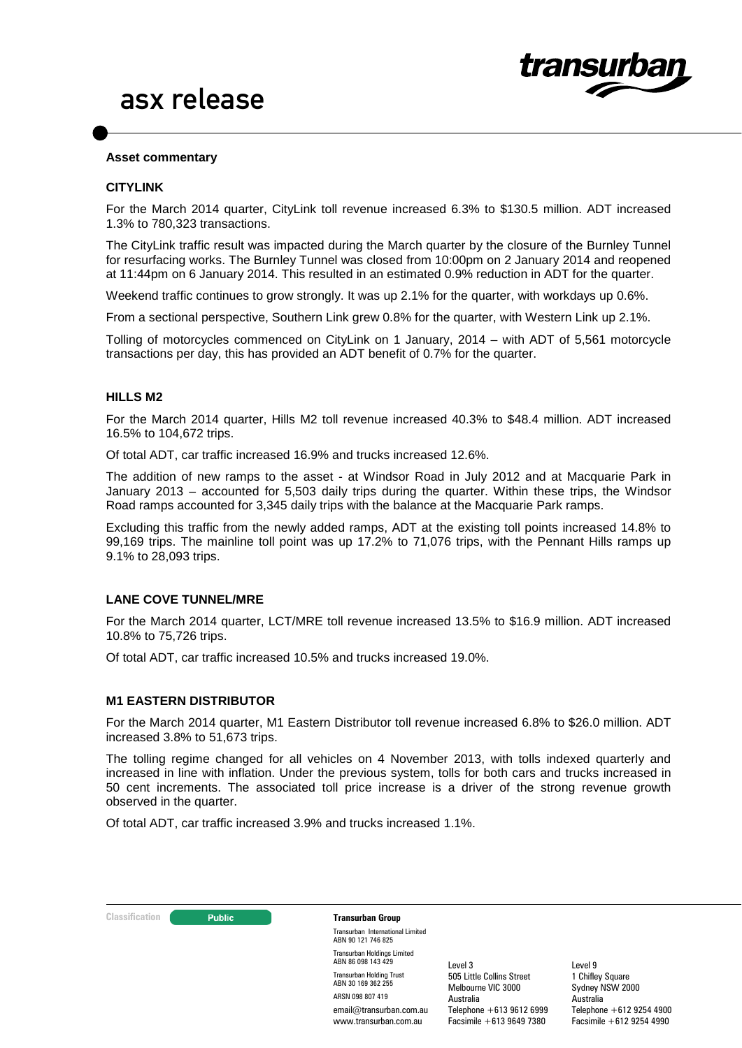

#### **Asset commentary**

#### **CITYLINK**

For the March 2014 quarter, CityLink toll revenue increased 6.3% to \$130.5 million. ADT increased 1.3% to 780,323 transactions.

The CityLink traffic result was impacted during the March quarter by the closure of the Burnley Tunnel for resurfacing works. The Burnley Tunnel was closed from 10:00pm on 2 January 2014 and reopened at 11:44pm on 6 January 2014. This resulted in an estimated 0.9% reduction in ADT for the quarter.

Weekend traffic continues to grow strongly. It was up 2.1% for the quarter, with workdays up 0.6%.

From a sectional perspective, Southern Link grew 0.8% for the quarter, with Western Link up 2.1%.

Tolling of motorcycles commenced on CityLink on 1 January, 2014 – with ADT of 5,561 motorcycle transactions per day, this has provided an ADT benefit of 0.7% for the quarter.

#### **HILLS M2**

For the March 2014 quarter, Hills M2 toll revenue increased 40.3% to \$48.4 million. ADT increased 16.5% to 104,672 trips.

Of total ADT, car traffic increased 16.9% and trucks increased 12.6%.

The addition of new ramps to the asset - at Windsor Road in July 2012 and at Macquarie Park in January 2013 – accounted for 5,503 daily trips during the quarter. Within these trips, the Windsor Road ramps accounted for 3,345 daily trips with the balance at the Macquarie Park ramps.

Excluding this traffic from the newly added ramps, ADT at the existing toll points increased 14.8% to 99,169 trips. The mainline toll point was up 17.2% to 71,076 trips, with the Pennant Hills ramps up 9.1% to 28,093 trips.

### **LANE COVE TUNNEL/MRE**

For the March 2014 quarter, LCT/MRE toll revenue increased 13.5% to \$16.9 million. ADT increased 10.8% to 75,726 trips.

Of total ADT, car traffic increased 10.5% and trucks increased 19.0%.

#### **M1 EASTERN DISTRIBUTOR**

For the March 2014 quarter, M1 Eastern Distributor toll revenue increased 6.8% to \$26.0 million. ADT increased 3.8% to 51,673 trips.

The tolling regime changed for all vehicles on 4 November 2013, with tolls indexed quarterly and increased in line with inflation. Under the previous system, tolls for both cars and trucks increased in 50 cent increments. The associated toll price increase is a driver of the strong revenue growth observed in the quarter.

Of total ADT, car traffic increased 3.9% and trucks increased 1.1%.



Transurban International Limited ABN 90 121 746 825 Transurban Holdings Limited ABN 86 098 143 429 Transurban Holding Trust ABN 30 169 362 255 ARSN 098 807 419 email@transurban.com.au www.transurban.com.au

Level 3 505 Little Collins Street Melbourne VIC 3000 Australia Telephone +613 9612 6999 Facsimile +613 9649 7380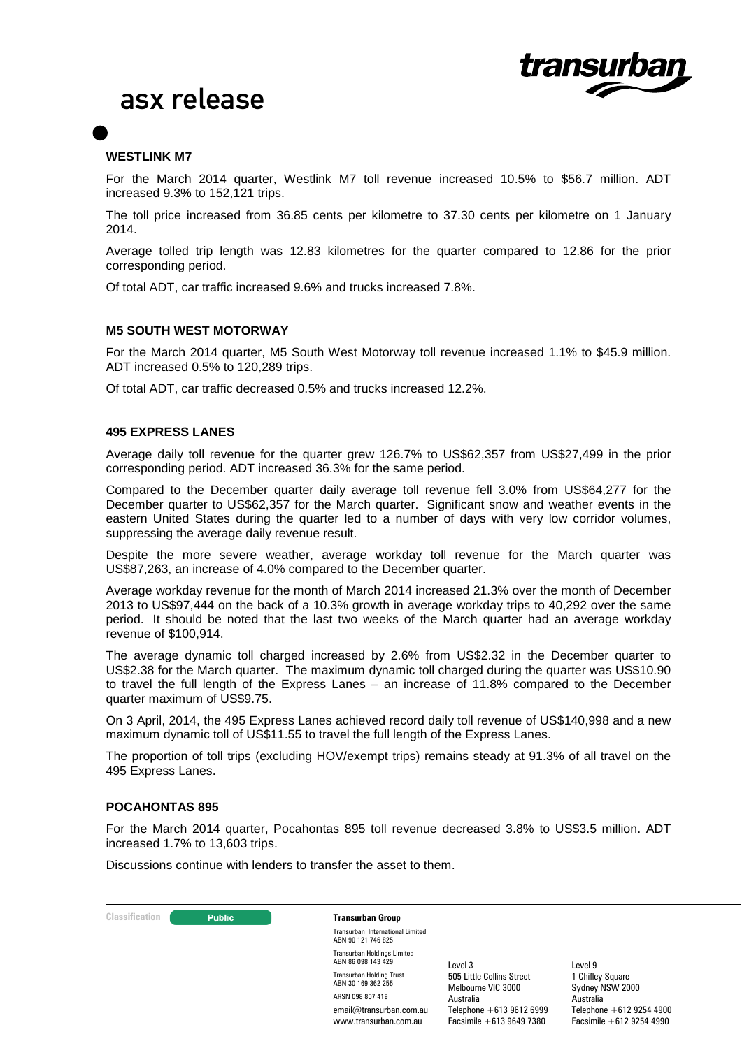

#### **WESTLINK M7**

For the March 2014 quarter, Westlink M7 toll revenue increased 10.5% to \$56.7 million. ADT increased 9.3% to 152,121 trips.

The toll price increased from 36.85 cents per kilometre to 37.30 cents per kilometre on 1 January 2014.

Average tolled trip length was 12.83 kilometres for the quarter compared to 12.86 for the prior corresponding period.

Of total ADT, car traffic increased 9.6% and trucks increased 7.8%.

#### **M5 SOUTH WEST MOTORWAY**

For the March 2014 quarter, M5 South West Motorway toll revenue increased 1.1% to \$45.9 million. ADT increased 0.5% to 120,289 trips.

Of total ADT, car traffic decreased 0.5% and trucks increased 12.2%.

### **495 EXPRESS LANES**

Average daily toll revenue for the quarter grew 126.7% to US\$62,357 from US\$27,499 in the prior corresponding period. ADT increased 36.3% for the same period.

Compared to the December quarter daily average toll revenue fell 3.0% from US\$64,277 for the December quarter to US\$62,357 for the March quarter. Significant snow and weather events in the eastern United States during the quarter led to a number of days with very low corridor volumes, suppressing the average daily revenue result.

Despite the more severe weather, average workday toll revenue for the March quarter was US\$87,263, an increase of 4.0% compared to the December quarter.

Average workday revenue for the month of March 2014 increased 21.3% over the month of December 2013 to US\$97,444 on the back of a 10.3% growth in average workday trips to 40,292 over the same period. It should be noted that the last two weeks of the March quarter had an average workday revenue of \$100,914.

The average dynamic toll charged increased by 2.6% from US\$2.32 in the December quarter to US\$2.38 for the March quarter. The maximum dynamic toll charged during the quarter was US\$10.90 to travel the full length of the Express Lanes – an increase of 11.8% compared to the December quarter maximum of US\$9.75.

On 3 April, 2014, the 495 Express Lanes achieved record daily toll revenue of US\$140,998 and a new maximum dynamic toll of US\$11.55 to travel the full length of the Express Lanes.

The proportion of toll trips (excluding HOV/exempt trips) remains steady at 91.3% of all travel on the 495 Express Lanes.

#### **POCAHONTAS 895**

For the March 2014 quarter, Pocahontas 895 toll revenue decreased 3.8% to US\$3.5 million. ADT increased 1.7% to 13,603 trips.

Discussions continue with lenders to transfer the asset to them.



Transurban International Limited ABN 90 121 746 825 Transurban Holdings Limited ABN 86 098 143 429 Transurban Holding Trust ABN 30 169 362 255 ARSN 098 807 419 email@transurban.com.au www.transurban.com.au

Level 3 505 Little Collins Street Melbourne VIC 3000 Australia Telephone +613 9612 6999 Facsimile +613 9649 7380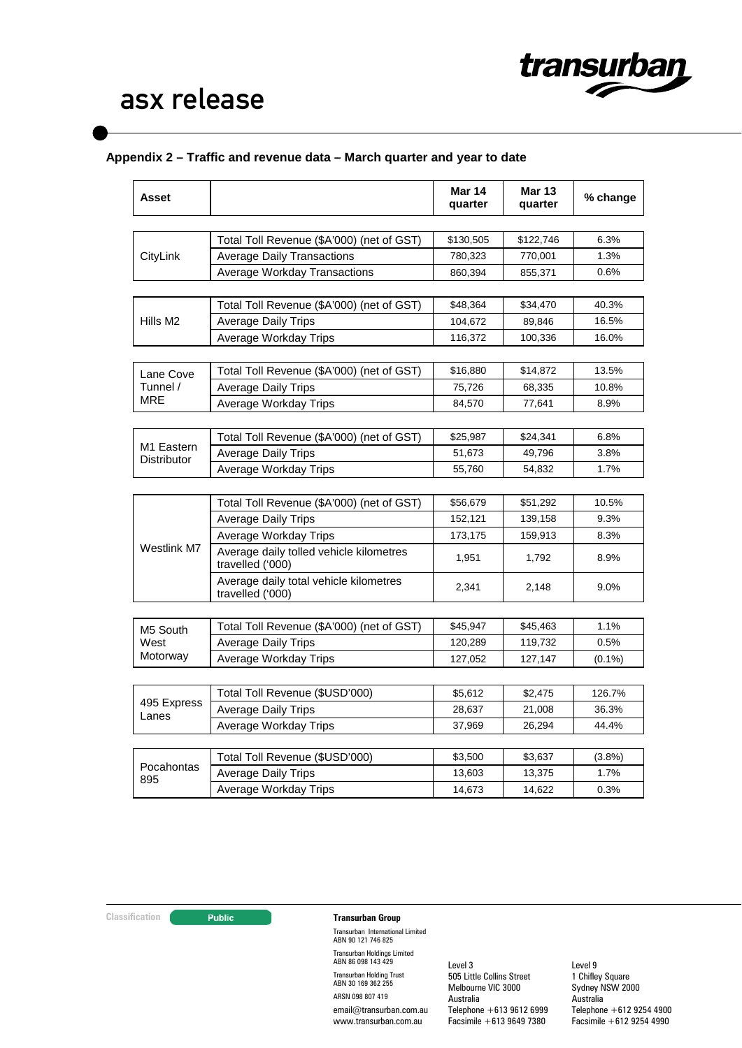

# **Appendix 2 – Traffic and revenue data – March quarter and year to date**

| Asset                |                                                             | <b>Mar 14</b><br>quarter | <b>Mar 13</b><br>quarter | % change  |
|----------------------|-------------------------------------------------------------|--------------------------|--------------------------|-----------|
|                      |                                                             |                          |                          |           |
|                      | Total Toll Revenue (\$A'000) (net of GST)                   | \$130,505                | \$122,746                | 6.3%      |
| CityLink             | <b>Average Daily Transactions</b>                           | 780,323                  | 770,001                  | 1.3%      |
|                      | Average Workday Transactions                                | 860,394                  | 855,371                  | 0.6%      |
|                      | Total Toll Revenue (\$A'000) (net of GST)                   | \$48,364                 | \$34,470                 | 40.3%     |
| Hills M <sub>2</sub> | <b>Average Daily Trips</b>                                  | 104,672                  | 89,846                   | 16.5%     |
|                      | Average Workday Trips                                       | 116,372                  | 100,336                  | 16.0%     |
|                      |                                                             |                          |                          |           |
| Lane Cove            | Total Toll Revenue (\$A'000) (net of GST)                   | \$16,880                 | \$14,872                 | 13.5%     |
| Tunnel /             | <b>Average Daily Trips</b>                                  | 75,726                   | 68,335                   | 10.8%     |
| MRE                  | Average Workday Trips                                       | 84,570                   | 77,641                   | 8.9%      |
|                      |                                                             |                          |                          |           |
| M1 Eastern           | Total Toll Revenue (\$A'000) (net of GST)                   | \$25,987                 | \$24,341                 | 6.8%      |
| Distributor          | <b>Average Daily Trips</b>                                  | 51,673                   | 49,796                   | 3.8%      |
|                      | Average Workday Trips                                       | 55,760                   | 54,832                   | 1.7%      |
|                      |                                                             |                          |                          |           |
|                      | Total Toll Revenue (\$A'000) (net of GST)                   | \$56,679                 | \$51,292                 | 10.5%     |
|                      | <b>Average Daily Trips</b>                                  | 152,121                  | 139,158                  | 9.3%      |
| Westlink M7          | Average Workday Trips                                       | 173,175                  | 159,913                  | 8.3%      |
|                      | Average daily tolled vehicle kilometres<br>travelled ('000) | 1,951                    | 1,792                    | 8.9%      |
|                      | Average daily total vehicle kilometres<br>travelled ('000)  | 2,341                    | 2,148                    | 9.0%      |
|                      |                                                             |                          |                          |           |
| M5 South             | Total Toll Revenue (\$A'000) (net of GST)                   | \$45,947                 | \$45,463                 | 1.1%      |
| West                 | <b>Average Daily Trips</b>                                  | 120,289                  | 119,732                  | 0.5%      |
| Motorway             | Average Workday Trips                                       | 127,052                  | 127,147                  | $(0.1\%)$ |
|                      |                                                             |                          |                          |           |
| 495 Express<br>Lanes | Total Toll Revenue (\$USD'000)                              | \$5,612                  | \$2,475                  | 126.7%    |
|                      | <b>Average Daily Trips</b>                                  | 28,637                   | 21,008                   | 36.3%     |
|                      | Average Workday Trips                                       | 37,969                   | 26,294                   | 44.4%     |
|                      | Total Toll Revenue (\$USD'000)                              | \$3,500                  | \$3,637                  | $(3.8\%)$ |
| Pocahontas           | <b>Average Daily Trips</b>                                  | 13,603                   | 13,375                   | 1.7%      |
| 895                  | Average Workday Trips                                       | 14,673                   | 14,622                   | 0.3%      |

## **Classification Transurban Group**

Transurban International Limited ABN 90 121 746 825 Transurban Holdings Limited ABN 86 098 143 429 Transurban Holding Trust ABN 30 169 362 255 ARSN 098 807 419 email@transurban.com.au www.transurban.com.au

Level 3 505 Little Collins Street Melbourne VIC 3000 Australia Telephone +613 9612 6999 Facsimile +613 9649 7380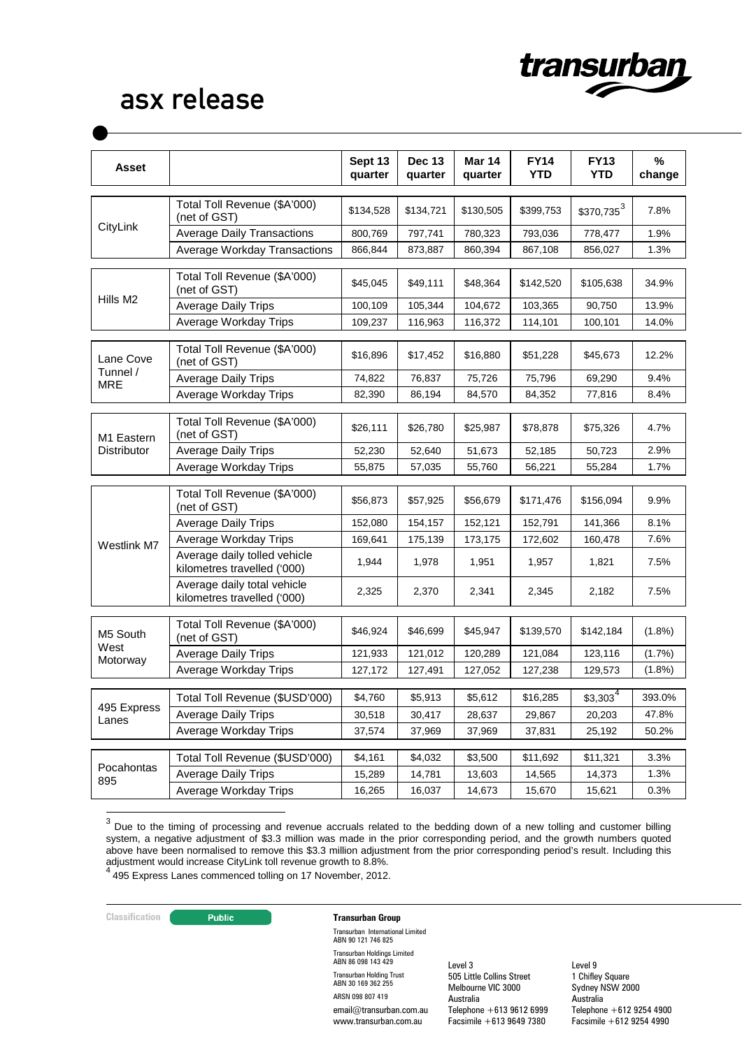

| Asset                  |                                                             | Sept 13<br>quarter | <b>Dec 13</b><br>quarter | <b>Mar 14</b><br>quarter | <b>FY14</b><br><b>YTD</b> | <b>FY13</b><br><b>YTD</b> | %<br>change |
|------------------------|-------------------------------------------------------------|--------------------|--------------------------|--------------------------|---------------------------|---------------------------|-------------|
|                        | Total Toll Revenue (\$A'000)<br>(net of GST)                | \$134,528          | \$134,721                | \$130,505                | \$399,753                 | $$370,735^3$              | 7.8%        |
| CityLink               | <b>Average Daily Transactions</b>                           | 800,769            | 797,741                  | 780,323                  | 793,036                   | 778,477                   | 1.9%        |
|                        | Average Workday Transactions                                | 866,844            | 873,887                  | 860,394                  | 867,108                   | 856,027                   | 1.3%        |
|                        | Total Toll Revenue (\$A'000)<br>(net of GST)                | \$45,045           | \$49,111                 | \$48,364                 | \$142,520                 | \$105,638                 | 34.9%       |
| Hills M2               | <b>Average Daily Trips</b>                                  | 100.109            | 105.344                  | 104,672                  | 103,365                   | 90,750                    | 13.9%       |
|                        | Average Workday Trips                                       | 109,237            | 116,963                  | 116,372                  | 114,101                   | 100,101                   | 14.0%       |
| Lane Cove              | Total Toll Revenue (\$A'000)<br>(net of GST)                | \$16,896           | \$17,452                 | \$16,880                 | \$51,228                  | \$45,673                  | 12.2%       |
| Tunnel /<br><b>MRE</b> | <b>Average Daily Trips</b>                                  | 74,822             | 76,837                   | 75,726                   | 75,796                    | 69.290                    | 9.4%        |
|                        | Average Workday Trips                                       | 82,390             | 86,194                   | 84,570                   | 84,352                    | 77,816                    | 8.4%        |
| M1 Eastern             | Total Toll Revenue (\$A'000)<br>(net of GST)                | \$26,111           | \$26,780                 | \$25,987                 | \$78,878                  | \$75,326                  | 4.7%        |
| <b>Distributor</b>     | <b>Average Daily Trips</b>                                  | 52,230             | 52,640                   | 51,673                   | 52,185                    | 50,723                    | 2.9%        |
|                        | Average Workday Trips                                       | 55,875             | 57,035                   | 55,760                   | 56,221                    | 55,284                    | 1.7%        |
| Westlink M7            | Total Toll Revenue (\$A'000)<br>(net of GST)                | \$56,873           | \$57,925                 | \$56,679                 | \$171,476                 | \$156,094                 | 9.9%        |
|                        | <b>Average Daily Trips</b>                                  | 152,080            | 154,157                  | 152,121                  | 152,791                   | 141,366                   | 8.1%        |
|                        | Average Workday Trips                                       | 169,641            | 175,139                  | 173,175                  | 172,602                   | 160,478                   | 7.6%        |
|                        | Average daily tolled vehicle<br>kilometres travelled ('000) | 1,944              | 1,978                    | 1,951                    | 1,957                     | 1,821                     | 7.5%        |
|                        | Average daily total vehicle<br>kilometres travelled ('000)  | 2,325              | 2,370                    | 2,341                    | 2,345                     | 2,182                     | 7.5%        |
| M5 South               | Total Toll Revenue (\$A'000)<br>(net of GST)                | \$46,924           | \$46,699                 | \$45,947                 | \$139,570                 | \$142,184                 | $(1.8\%)$   |
| West<br>Motorway       | <b>Average Daily Trips</b>                                  | 121,933            | 121,012                  | 120,289                  | 121,084                   | 123,116                   | (1.7%)      |
|                        | Average Workday Trips                                       | 127,172            | 127,491                  | 127,052                  | 127,238                   | 129,573                   | $(1.8\%)$   |
|                        | Total Toll Revenue (\$USD'000)                              | \$4,760            | \$5,913                  | \$5,612                  | \$16,285                  | 4<br>\$3,303              | 393.0%      |
| 495 Express            | Average Daily Trips                                         | 30,518             | 30,417                   | 28,637                   | 29,867                    | 20,203                    | 47.8%       |
| Lanes                  | Average Workday Trips                                       | 37,574             | 37,969                   | 37,969                   | 37,831                    | 25,192                    | 50.2%       |
|                        | Total Toll Revenue (\$USD'000)                              | \$4,161            | \$4,032                  | \$3,500                  | \$11,692                  | \$11,321                  | 3.3%        |
| Pocahontas             | <b>Average Daily Trips</b>                                  | 15,289             | 14,781                   | 13,603                   | 14,565                    | 14,373                    | 1.3%        |
| 895                    | Average Workday Trips                                       | 16,265             | 16,037                   | 14,673                   | 15,670                    | 15,621                    | 0.3%        |

<span id="page-6-0"></span><sup>3</sup> Due to the timing of processing and revenue accruals related to the bedding down of a new tolling and customer billing system, a negative adjustment of \$3.3 million was made in the prior corresponding period, and the growth numbers quoted above have been normalised to remove this \$3.3 million adjustment from the prior corresponding period's result. Including this adjustment would increase CityLink toll revenue growth to 8.8%. <sup>4</sup> 495 Express Lanes commenced tolling on 17 November, 2012.

<span id="page-6-1"></span>

## **Classification Transurban Group**

Transurban International Limited ABN 90 121 746 825 Transurban Holdings Limited ABN 86 098 143 429 Transurban Holding Trust ABN 30 169 362 255 ARSN 098 807 419 email@transurban.com.au www.transurban.com.au

Level 3 505 Little Collins Street Melbourne VIC 3000 Australia Telephone +613 9612 6999 Facsimile +613 9649 7380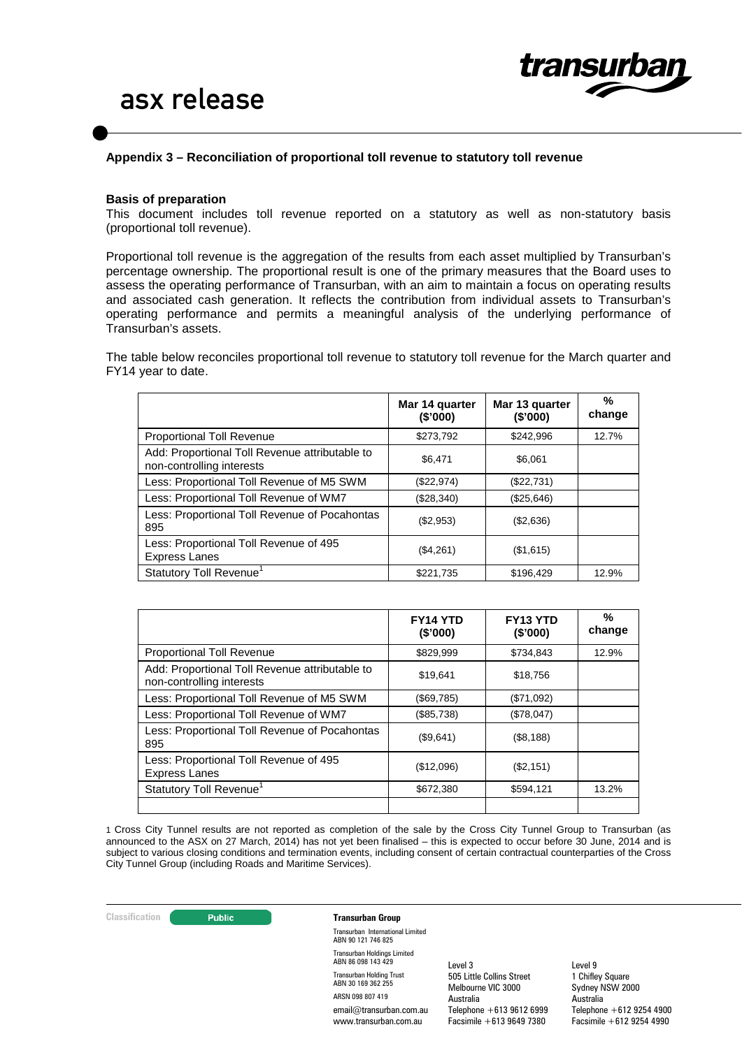

### **Appendix 3 – Reconciliation of proportional toll revenue to statutory toll revenue**

#### **Basis of preparation**

This document includes toll revenue reported on a statutory as well as non-statutory basis (proportional toll revenue).

Proportional toll revenue is the aggregation of the results from each asset multiplied by Transurban's percentage ownership. The proportional result is one of the primary measures that the Board uses to assess the operating performance of Transurban, with an aim to maintain a focus on operating results and associated cash generation. It reflects the contribution from individual assets to Transurban's operating performance and permits a meaningful analysis of the underlying performance of Transurban's assets.

The table below reconciles proportional toll revenue to statutory toll revenue for the March quarter and FY14 year to date.

|                                                                             | Mar 14 quarter<br>(\$'000) | Mar 13 quarter<br>(\$'000) | %<br>change |
|-----------------------------------------------------------------------------|----------------------------|----------------------------|-------------|
| Proportional Toll Revenue                                                   | \$273,792                  | \$242.996                  | 12.7%       |
| Add: Proportional Toll Revenue attributable to<br>non-controlling interests | \$6.471                    | \$6.061                    |             |
| Less: Proportional Toll Revenue of M5 SWM                                   | (\$22,974)                 | (\$22,731)                 |             |
| Less: Proportional Toll Revenue of WM7                                      | (\$28,340)                 | (\$25,646)                 |             |
| Less: Proportional Toll Revenue of Pocahontas<br>895                        | (\$2,953)                  | (\$2,636)                  |             |
| Less: Proportional Toll Revenue of 495<br><b>Express Lanes</b>              | (\$4,261)                  | (\$1,615)                  |             |
| Statutory Toll Revenue <sup>1</sup>                                         | \$221,735                  | \$196,429                  | 12.9%       |

|                                                                             | <b>FY14 YTD</b><br>(\$'000) | <b>FY13 YTD</b><br>(\$'000) | %<br>change |
|-----------------------------------------------------------------------------|-----------------------------|-----------------------------|-------------|
| <b>Proportional Toll Revenue</b>                                            | \$829,999                   | \$734.843                   | 12.9%       |
| Add: Proportional Toll Revenue attributable to<br>non-controlling interests | \$19,641                    | \$18,756                    |             |
| Less: Proportional Toll Revenue of M5 SWM                                   | (\$69,785)                  | (\$71,092)                  |             |
| Less: Proportional Toll Revenue of WM7                                      | (\$85,738)                  | (\$78,047)                  |             |
| Less: Proportional Toll Revenue of Pocahontas<br>895                        | (\$9,641)                   | (\$8,188)                   |             |
| Less: Proportional Toll Revenue of 495<br><b>Express Lanes</b>              | (\$12,096)                  | (\$2,151)                   |             |
| Statutory Toll Revenue <sup>1</sup>                                         | \$672,380                   | \$594,121                   | 13.2%       |
|                                                                             |                             |                             |             |

1 Cross City Tunnel results are not reported as completion of the sale by the Cross City Tunnel Group to Transurban (as announced to the ASX on 27 March, 2014) has not yet been finalised – this is expected to occur before 30 June, 2014 and is subject to various closing conditions and termination events, including consent of certain contractual counterparties of the Cross City Tunnel Group (including Roads and Maritime Services).

#### **Classification Construction Transurban Group**

Transurban International Limited ABN 90 121 746 825 Transurban Holdings Limited ABN 86 098 143 429 Transurban Holding Trust ABN 30 169 362 255 ARSN 098 807 419 email@transurban.com.au www.transurban.com.au

Level 3 505 Little Collins Street Melbourne VIC 3000 Australia Telephone +613 9612 6999 Facsimile +613 9649 7380